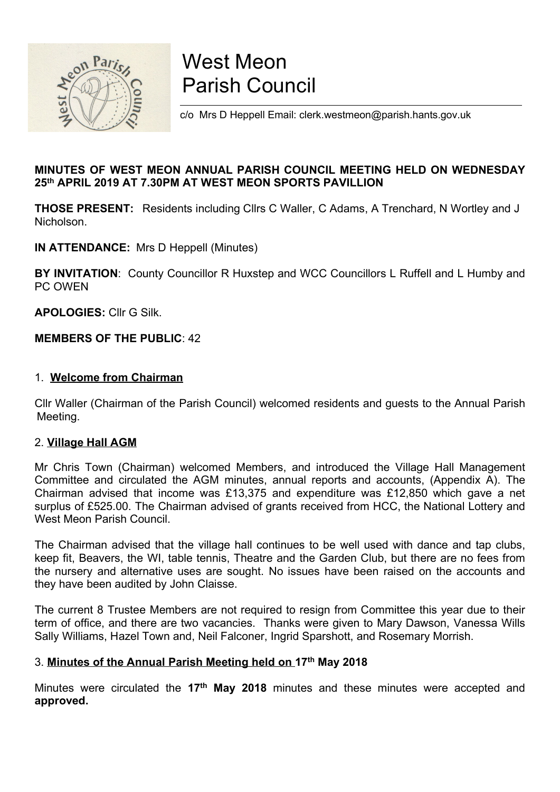

# West Meon Parish Council

c/o Mrs D Heppell Email: clerk.westmeon@parish.hants.gov.uk

## MINUTES OF WEST MEON ANNUAL PARISH COUNCIL MEETING HELD ON WEDNESDAY 25th APRIL 2019 AT 7.30PM AT WEST MEON SPORTS PAVILLION

THOSE PRESENT: Residents including Cllrs C Waller, C Adams, A Trenchard, N Wortley and J Nicholson.

IN ATTENDANCE: Mrs D Heppell (Minutes)

BY INVITATION: County Councillor R Huxstep and WCC Councillors L Ruffell and L Humby and PC OWEN

APOLOGIES: Cllr G Silk.

## MEMBERS OF THE PUBLIC: 42

## 1. Welcome from Chairman

Cllr Waller (Chairman of the Parish Council) welcomed residents and guests to the Annual Parish Meeting.

#### 2. Village Hall AGM

Mr Chris Town (Chairman) welcomed Members, and introduced the Village Hall Management Committee and circulated the AGM minutes, annual reports and accounts, (Appendix A). The Chairman advised that income was £13,375 and expenditure was £12,850 which gave a net surplus of £525.00. The Chairman advised of grants received from HCC, the National Lottery and West Meon Parish Council.

The Chairman advised that the village hall continues to be well used with dance and tap clubs, keep fit, Beavers, the WI, table tennis, Theatre and the Garden Club, but there are no fees from the nursery and alternative uses are sought. No issues have been raised on the accounts and they have been audited by John Claisse.

The current 8 Trustee Members are not required to resign from Committee this year due to their term of office, and there are two vacancies. Thanks were given to Mary Dawson, Vanessa Wills Sally Williams, Hazel Town and, Neil Falconer, Ingrid Sparshott, and Rosemary Morrish.

## 3. Minutes of the Annual Parish Meeting held on 17<sup>th</sup> May 2018

Minutes were circulated the 17<sup>th</sup> May 2018 minutes and these minutes were accepted and approved.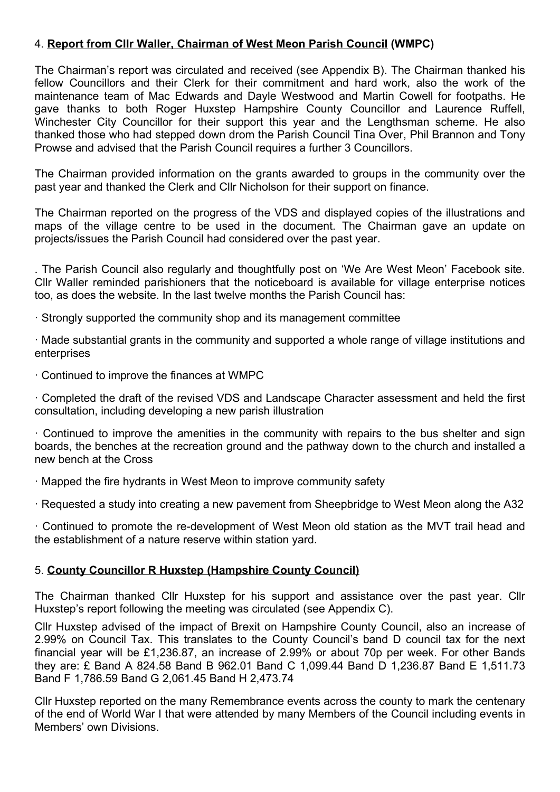## 4. Report from Cllr Waller, Chairman of West Meon Parish Council (WMPC)

The Chairman's report was circulated and received (see Appendix B). The Chairman thanked his fellow Councillors and their Clerk for their commitment and hard work, also the work of the maintenance team of Mac Edwards and Dayle Westwood and Martin Cowell for footpaths. He gave thanks to both Roger Huxstep Hampshire County Councillor and Laurence Ruffell, Winchester City Councillor for their support this year and the Lengthsman scheme. He also thanked those who had stepped down drom the Parish Council Tina Over, Phil Brannon and Tony Prowse and advised that the Parish Council requires a further 3 Councillors.

The Chairman provided information on the grants awarded to groups in the community over the past year and thanked the Clerk and Cllr Nicholson for their support on finance.

The Chairman reported on the progress of the VDS and displayed copies of the illustrations and maps of the village centre to be used in the document. The Chairman gave an update on projects/issues the Parish Council had considered over the past year.

. The Parish Council also regularly and thoughtfully post on 'We Are West Meon' Facebook site. Cllr Waller reminded parishioners that the noticeboard is available for village enterprise notices too, as does the website. In the last twelve months the Parish Council has:

· Strongly supported the community shop and its management committee

· Made substantial grants in the community and supported a whole range of village institutions and enterprises

· Continued to improve the finances at WMPC

· Completed the draft of the revised VDS and Landscape Character assessment and held the first consultation, including developing a new parish illustration

· Continued to improve the amenities in the community with repairs to the bus shelter and sign boards, the benches at the recreation ground and the pathway down to the church and installed a new bench at the Cross

· Mapped the fire hydrants in West Meon to improve community safety

· Requested a study into creating a new pavement from Sheepbridge to West Meon along the A32

· Continued to promote the re-development of West Meon old station as the MVT trail head and the establishment of a nature reserve within station yard.

## 5. County Councillor R Huxstep (Hampshire County Council)

The Chairman thanked Cllr Huxstep for his support and assistance over the past year. Cllr Huxstep's report following the meeting was circulated (see Appendix C).

Cllr Huxstep advised of the impact of Brexit on Hampshire County Council, also an increase of 2.99% on Council Tax. This translates to the County Council's band D council tax for the next financial year will be £1,236.87, an increase of 2.99% or about 70p per week. For other Bands they are: £ Band A 824.58 Band B 962.01 Band C 1,099.44 Band D 1,236.87 Band E 1,511.73 Band F 1,786.59 Band G 2,061.45 Band H 2,473.74

Cllr Huxstep reported on the many Remembrance events across the county to mark the centenary of the end of World War I that were attended by many Members of the Council including events in Members' own Divisions.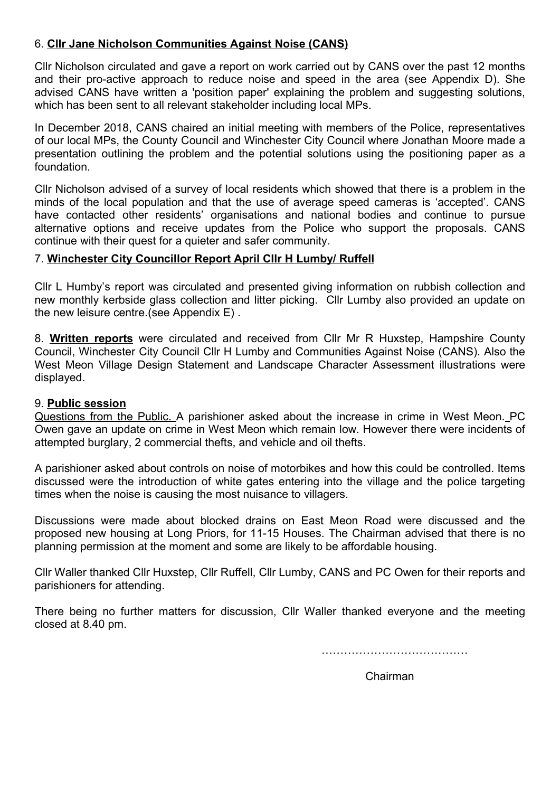## 6. Cllr Jane Nicholson Communities Against Noise (CANS)

Cllr Nicholson circulated and gave a report on work carried out by CANS over the past 12 months and their pro-active approach to reduce noise and speed in the area (see Appendix D). She advised CANS have written a 'position paper' explaining the problem and suggesting solutions, which has been sent to all relevant stakeholder including local MPs.

In December 2018, CANS chaired an initial meeting with members of the Police, representatives of our local MPs, the County Council and Winchester City Council where Jonathan Moore made a presentation outlining the problem and the potential solutions using the positioning paper as a foundation.

Cllr Nicholson advised of a survey of local residents which showed that there is a problem in the minds of the local population and that the use of average speed cameras is 'accepted'. CANS have contacted other residents' organisations and national bodies and continue to pursue alternative options and receive updates from the Police who support the proposals. CANS continue with their quest for a quieter and safer community.

## 7. Winchester City Councillor Report April Cllr H Lumby/ Ruffell

Cllr L Humby's report was circulated and presented giving information on rubbish collection and new monthly kerbside glass collection and litter picking. Cllr Lumby also provided an update on the new leisure centre.(see Appendix E) .

8. Written reports were circulated and received from Cllr Mr R Huxstep, Hampshire County Council, Winchester City Council Cllr H Lumby and Communities Against Noise (CANS). Also the West Meon Village Design Statement and Landscape Character Assessment illustrations were displayed.

#### 9. Public session

Questions from the Public. A parishioner asked about the increase in crime in West Meon. PC Owen gave an update on crime in West Meon which remain low. However there were incidents of attempted burglary, 2 commercial thefts, and vehicle and oil thefts.

A parishioner asked about controls on noise of motorbikes and how this could be controlled. Items discussed were the introduction of white gates entering into the village and the police targeting times when the noise is causing the most nuisance to villagers.

Discussions were made about blocked drains on East Meon Road were discussed and the proposed new housing at Long Priors, for 11-15 Houses. The Chairman advised that there is no planning permission at the moment and some are likely to be affordable housing.

Cllr Waller thanked Cllr Huxstep, Cllr Ruffell, Cllr Lumby, CANS and PC Owen for their reports and parishioners for attending.

There being no further matters for discussion, Cllr Waller thanked everyone and the meeting closed at 8.40 pm.

…………………………………

in the contract of the contract of the contract of the contract of the contract of the contract of the contract of the contract of the contract of the contract of the contract of the contract of the contract of the contrac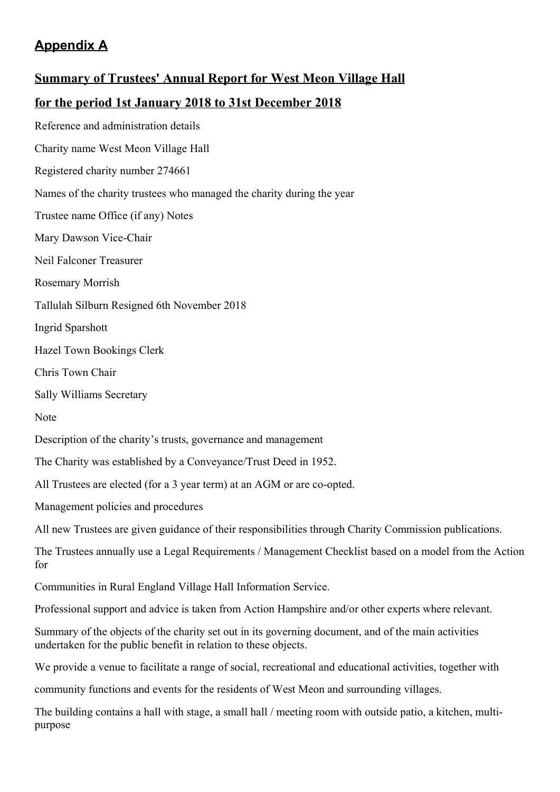# Appendix A

# Summary of Trustees' Annual Report for West Meon Village Hall for the period 1st January 2018 to 31st December 2018 Reference and administration details Charity name West Meon Village Hall Registered charity number 274661 Names of the charity trustees who managed the charity during the year Trustee name Office (if any) Notes Mary Dawson Vice-Chair Neil Falconer Treasurer Rosemary Morrish Tallulah Silburn Resigned 6th November 2018 Ingrid Sparshott Hazel Town Bookings Clerk Chris Town Chair Sally Williams Secretary Note Description of the charity's trusts, governance and management The Charity was established by a Conveyance/Trust Deed in 1952. All Trustees are elected (for a 3 year term) at an AGM or are co-opted. Management policies and procedures All new Trustees are given guidance of their responsibilities through Charity Commission publications. The Trustees annually use a Legal Requirements / Management Checklist based on a model from the Action for Communities in Rural England Village Hall Information Service. Professional support and advice is taken from Action Hampshire and/or other experts where relevant. Summary of the objects of the charity set out in its governing document, and of the main activities undertaken for the public benefit in relation to these objects. We provide a venue to facilitate a range of social, recreational and educational activities, together with community functions and events for the residents of West Meon and surrounding villages.

The building contains a hall with stage, a small hall / meeting room with outside patio, a kitchen, multipurpose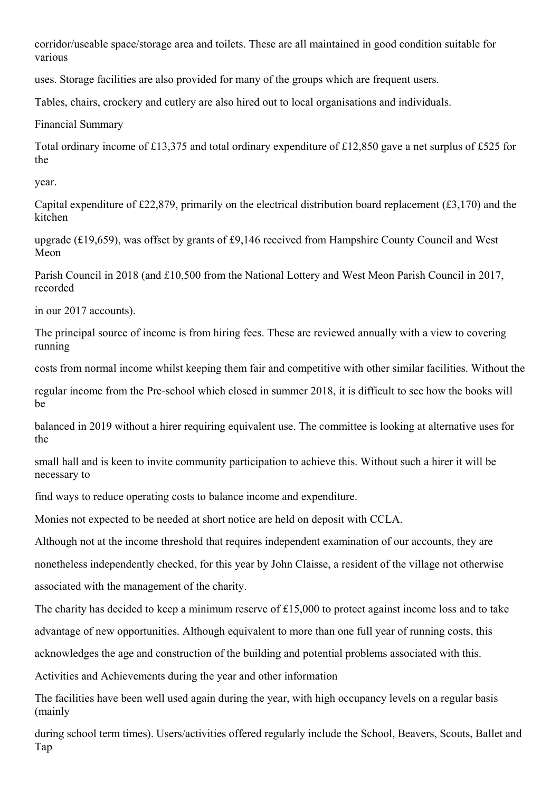corridor/useable space/storage area and toilets. These are all maintained in good condition suitable for various

uses. Storage facilities are also provided for many of the groups which are frequent users.

Tables, chairs, crockery and cutlery are also hired out to local organisations and individuals.

Financial Summary

Total ordinary income of £13,375 and total ordinary expenditure of £12,850 gave a net surplus of £525 for the

year.

Capital expenditure of £22,879, primarily on the electrical distribution board replacement (£3,170) and the kitchen

upgrade (£19,659), was offset by grants of £9,146 received from Hampshire County Council and West Meon

Parish Council in 2018 (and £10,500 from the National Lottery and West Meon Parish Council in 2017, recorded

in our 2017 accounts).

The principal source of income is from hiring fees. These are reviewed annually with a view to covering running

costs from normal income whilst keeping them fair and competitive with other similar facilities. Without the

regular income from the Pre-school which closed in summer 2018, it is difficult to see how the books will be

balanced in 2019 without a hirer requiring equivalent use. The committee is looking at alternative uses for the

small hall and is keen to invite community participation to achieve this. Without such a hirer it will be necessary to

find ways to reduce operating costs to balance income and expenditure.

Monies not expected to be needed at short notice are held on deposit with CCLA.

Although not at the income threshold that requires independent examination of our accounts, they are

nonetheless independently checked, for this year by John Claisse, a resident of the village not otherwise associated with the management of the charity.

The charity has decided to keep a minimum reserve of £15,000 to protect against income loss and to take advantage of new opportunities. Although equivalent to more than one full year of running costs, this

acknowledges the age and construction of the building and potential problems associated with this.

Activities and Achievements during the year and other information

The facilities have been well used again during the year, with high occupancy levels on a regular basis (mainly

during school term times). Users/activities offered regularly include the School, Beavers, Scouts, Ballet and Tap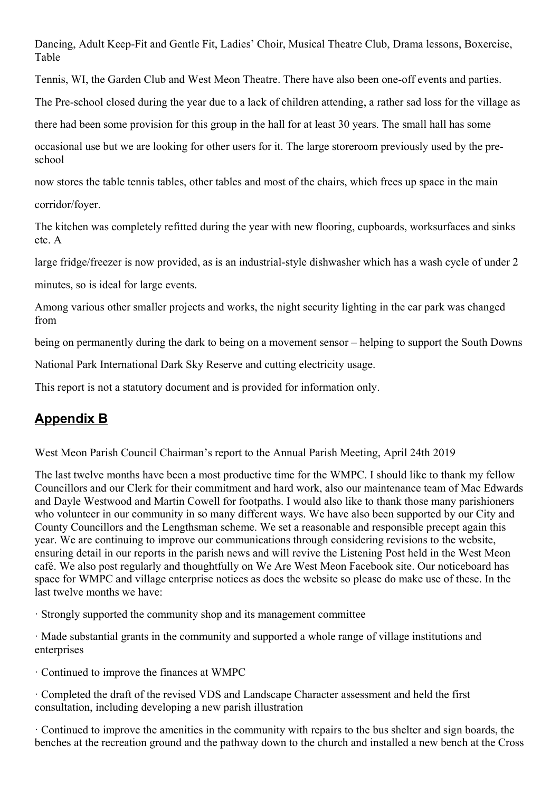Dancing, Adult Keep-Fit and Gentle Fit, Ladies' Choir, Musical Theatre Club, Drama lessons, Boxercise, Table

Tennis, WI, the Garden Club and West Meon Theatre. There have also been one-off events and parties.

The Pre-school closed during the year due to a lack of children attending, a rather sad loss for the village as

there had been some provision for this group in the hall for at least 30 years. The small hall has some

occasional use but we are looking for other users for it. The large storeroom previously used by the preschool

now stores the table tennis tables, other tables and most of the chairs, which frees up space in the main

corridor/foyer.

The kitchen was completely refitted during the year with new flooring, cupboards, worksurfaces and sinks etc. A

large fridge/freezer is now provided, as is an industrial-style dishwasher which has a wash cycle of under 2

minutes, so is ideal for large events.

Among various other smaller projects and works, the night security lighting in the car park was changed from

being on permanently during the dark to being on a movement sensor – helping to support the South Downs

National Park International Dark Sky Reserve and cutting electricity usage.

This report is not a statutory document and is provided for information only.

# Appendix B

West Meon Parish Council Chairman's report to the Annual Parish Meeting, April 24th 2019

The last twelve months have been a most productive time for the WMPC. I should like to thank my fellow Councillors and our Clerk for their commitment and hard work, also our maintenance team of Mac Edwards and Dayle Westwood and Martin Cowell for footpaths. I would also like to thank those many parishioners who volunteer in our community in so many different ways. We have also been supported by our City and County Councillors and the Lengthsman scheme. We set a reasonable and responsible precept again this year. We are continuing to improve our communications through considering revisions to the website, ensuring detail in our reports in the parish news and will revive the Listening Post held in the West Meon café. We also post regularly and thoughtfully on We Are West Meon Facebook site. Our noticeboard has space for WMPC and village enterprise notices as does the website so please do make use of these. In the last twelve months we have:

· Strongly supported the community shop and its management committee

· Made substantial grants in the community and supported a whole range of village institutions and enterprises

· Continued to improve the finances at WMPC

· Completed the draft of the revised VDS and Landscape Character assessment and held the first consultation, including developing a new parish illustration

· Continued to improve the amenities in the community with repairs to the bus shelter and sign boards, the benches at the recreation ground and the pathway down to the church and installed a new bench at the Cross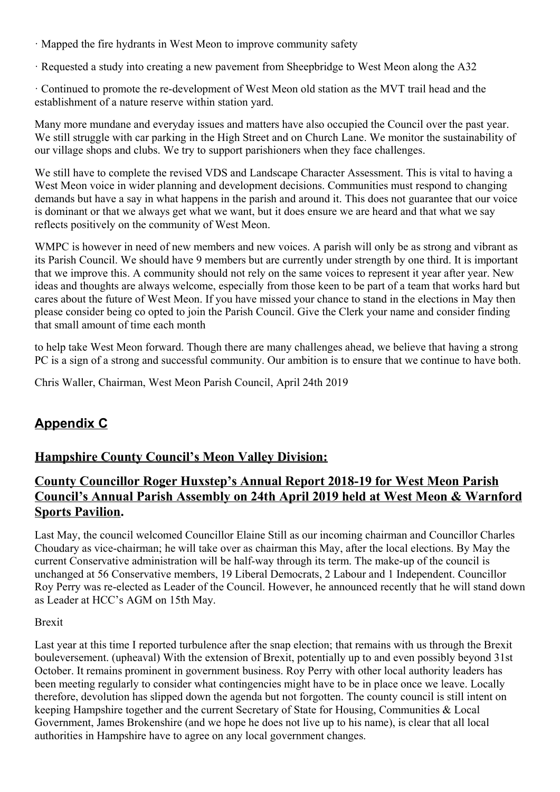- · Mapped the fire hydrants in West Meon to improve community safety
- · Requested a study into creating a new pavement from Sheepbridge to West Meon along the A32

· Continued to promote the re-development of West Meon old station as the MVT trail head and the establishment of a nature reserve within station yard.

Many more mundane and everyday issues and matters have also occupied the Council over the past year. We still struggle with car parking in the High Street and on Church Lane. We monitor the sustainability of our village shops and clubs. We try to support parishioners when they face challenges.

We still have to complete the revised VDS and Landscape Character Assessment. This is vital to having a West Meon voice in wider planning and development decisions. Communities must respond to changing demands but have a say in what happens in the parish and around it. This does not guarantee that our voice is dominant or that we always get what we want, but it does ensure we are heard and that what we say reflects positively on the community of West Meon.

WMPC is however in need of new members and new voices. A parish will only be as strong and vibrant as its Parish Council. We should have 9 members but are currently under strength by one third. It is important that we improve this. A community should not rely on the same voices to represent it year after year. New ideas and thoughts are always welcome, especially from those keen to be part of a team that works hard but cares about the future of West Meon. If you have missed your chance to stand in the elections in May then please consider being co opted to join the Parish Council. Give the Clerk your name and consider finding that small amount of time each month

to help take West Meon forward. Though there are many challenges ahead, we believe that having a strong PC is a sign of a strong and successful community. Our ambition is to ensure that we continue to have both.

Chris Waller, Chairman, West Meon Parish Council, April 24th 2019

# Appendix C

# Hampshire County Council's Meon Valley Division:

# County Councillor Roger Huxstep's Annual Report 2018-19 for West Meon Parish Council's Annual Parish Assembly on 24th April 2019 held at West Meon & Warnford Sports Pavilion.

Last May, the council welcomed Councillor Elaine Still as our incoming chairman and Councillor Charles Choudary as vice-chairman; he will take over as chairman this May, after the local elections. By May the current Conservative administration will be half-way through its term. The make-up of the council is unchanged at 56 Conservative members, 19 Liberal Democrats, 2 Labour and 1 Independent. Councillor Roy Perry was re-elected as Leader of the Council. However, he announced recently that he will stand down as Leader at HCC's AGM on 15th May.

## Brexit

Last year at this time I reported turbulence after the snap election; that remains with us through the Brexit bouleversement. (upheaval) With the extension of Brexit, potentially up to and even possibly beyond 31st October. It remains prominent in government business. Roy Perry with other local authority leaders has been meeting regularly to consider what contingencies might have to be in place once we leave. Locally therefore, devolution has slipped down the agenda but not forgotten. The county council is still intent on keeping Hampshire together and the current Secretary of State for Housing, Communities & Local Government, James Brokenshire (and we hope he does not live up to his name), is clear that all local authorities in Hampshire have to agree on any local government changes.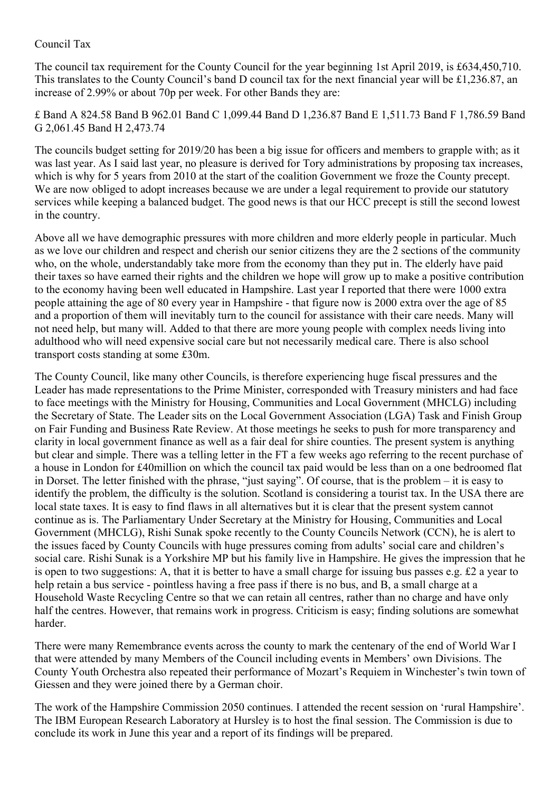## Council Tax

The council tax requirement for the County Council for the year beginning 1st April 2019, is £634,450,710. This translates to the County Council's band D council tax for the next financial year will be £1,236.87, an increase of 2.99% or about 70p per week. For other Bands they are:

£ Band A 824.58 Band B 962.01 Band C 1,099.44 Band D 1,236.87 Band E 1,511.73 Band F 1,786.59 Band G 2,061.45 Band H 2,473.74

The councils budget setting for 2019/20 has been a big issue for officers and members to grapple with; as it was last year. As I said last year, no pleasure is derived for Tory administrations by proposing tax increases, which is why for 5 years from 2010 at the start of the coalition Government we froze the County precept. We are now obliged to adopt increases because we are under a legal requirement to provide our statutory services while keeping a balanced budget. The good news is that our HCC precept is still the second lowest in the country.

Above all we have demographic pressures with more children and more elderly people in particular. Much as we love our children and respect and cherish our senior citizens they are the 2 sections of the community who, on the whole, understandably take more from the economy than they put in. The elderly have paid their taxes so have earned their rights and the children we hope will grow up to make a positive contribution to the economy having been well educated in Hampshire. Last year I reported that there were 1000 extra people attaining the age of 80 every year in Hampshire - that figure now is 2000 extra over the age of 85 and a proportion of them will inevitably turn to the council for assistance with their care needs. Many will not need help, but many will. Added to that there are more young people with complex needs living into adulthood who will need expensive social care but not necessarily medical care. There is also school transport costs standing at some £30m.

The County Council, like many other Councils, is therefore experiencing huge fiscal pressures and the Leader has made representations to the Prime Minister, corresponded with Treasury ministers and had face to face meetings with the Ministry for Housing, Communities and Local Government (MHCLG) including the Secretary of State. The Leader sits on the Local Government Association (LGA) Task and Finish Group on Fair Funding and Business Rate Review. At those meetings he seeks to push for more transparency and clarity in local government finance as well as a fair deal for shire counties. The present system is anything but clear and simple. There was a telling letter in the FT a few weeks ago referring to the recent purchase of a house in London for £40million on which the council tax paid would be less than on a one bedroomed flat in Dorset. The letter finished with the phrase, "just saying". Of course, that is the problem – it is easy to identify the problem, the difficulty is the solution. Scotland is considering a tourist tax. In the USA there are local state taxes. It is easy to find flaws in all alternatives but it is clear that the present system cannot continue as is. The Parliamentary Under Secretary at the Ministry for Housing, Communities and Local Government (MHCLG), Rishi Sunak spoke recently to the County Councils Network (CCN), he is alert to the issues faced by County Councils with huge pressures coming from adults' social care and children's social care. Rishi Sunak is a Yorkshire MP but his family live in Hampshire. He gives the impression that he is open to two suggestions: A, that it is better to have a small charge for issuing bus passes e.g. £2 a year to help retain a bus service - pointless having a free pass if there is no bus, and B, a small charge at a Household Waste Recycling Centre so that we can retain all centres, rather than no charge and have only half the centres. However, that remains work in progress. Criticism is easy; finding solutions are somewhat harder.

There were many Remembrance events across the county to mark the centenary of the end of World War I that were attended by many Members of the Council including events in Members' own Divisions. The County Youth Orchestra also repeated their performance of Mozart's Requiem in Winchester's twin town of Giessen and they were joined there by a German choir.

The work of the Hampshire Commission 2050 continues. I attended the recent session on 'rural Hampshire'. The IBM European Research Laboratory at Hursley is to host the final session. The Commission is due to conclude its work in June this year and a report of its findings will be prepared.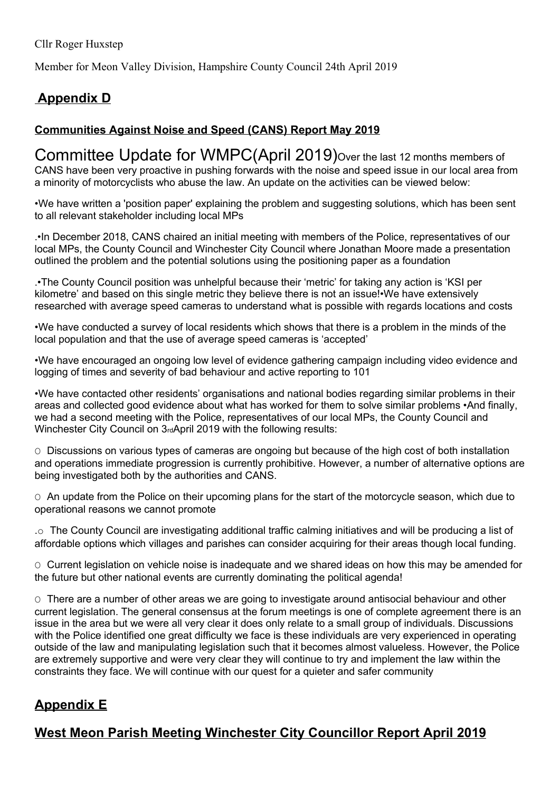Member for Meon Valley Division, Hampshire County Council 24th April 2019

# Appendix D

# Communities Against Noise and Speed (CANS) Report May 2019

Committee Update for WMPC(April 2019) Over the last 12 months members of CANS have been very proactive in pushing forwards with the noise and speed issue in our local area from a minority of motorcyclists who abuse the law. An update on the activities can be viewed below:

•We have written a 'position paper' explaining the problem and suggesting solutions, which has been sent to all relevant stakeholder including local MPs

.•In December 2018, CANS chaired an initial meeting with members of the Police, representatives of our local MPs, the County Council and Winchester City Council where Jonathan Moore made a presentation outlined the problem and the potential solutions using the positioning paper as a foundation

.•The County Council position was unhelpful because their 'metric' for taking any action is 'KSI per kilometre' and based on this single metric they believe there is not an issue!•We have extensively researched with average speed cameras to understand what is possible with regards locations and costs

•We have conducted a survey of local residents which shows that there is a problem in the minds of the local population and that the use of average speed cameras is 'accepted'

•We have encouraged an ongoing low level of evidence gathering campaign including video evidence and logging of times and severity of bad behaviour and active reporting to 101

•We have contacted other residents' organisations and national bodies regarding similar problems in their areas and collected good evidence about what has worked for them to solve similar problems •And finally, we had a second meeting with the Police, representatives of our local MPs, the County Council and Winchester City Council on 3rdApril 2019 with the following results:

O Discussions on various types of cameras are ongoing but because of the high cost of both installation and operations immediate progression is currently prohibitive. However, a number of alternative options are being investigated both by the authorities and CANS.

 $\circ$  An update from the Police on their upcoming plans for the start of the motorcycle season, which due to operational reasons we cannot promote

.o The County Council are investigating additional traffic calming initiatives and will be producing a list of affordable options which villages and parishes can consider acquiring for their areas though local funding.

O Current legislation on vehicle noise is inadequate and we shared ideas on how this may be amended for the future but other national events are currently dominating the political agenda!

O There are a number of other areas we are going to investigate around antisocial behaviour and other current legislation. The general consensus at the forum meetings is one of complete agreement there is an issue in the area but we were all very clear it does only relate to a small group of individuals. Discussions with the Police identified one great difficulty we face is these individuals are very experienced in operating outside of the law and manipulating legislation such that it becomes almost valueless. However, the Police are extremely supportive and were very clear they will continue to try and implement the law within the constraints they face. We will continue with our quest for a quieter and safer community

# Appendix E

# West Meon Parish Meeting Winchester City Councillor Report April 2019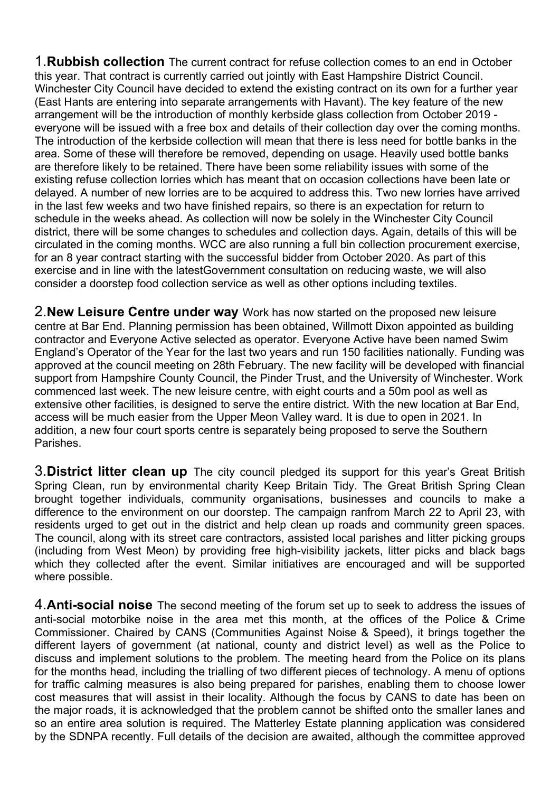**1. Rubbish collection** The current contract for refuse collection comes to an end in October this year. That contract is currently carried out jointly with East Hampshire District Council. Winchester City Council have decided to extend the existing contract on its own for a further year (East Hants are entering into separate arrangements with Havant). The key feature of the new arrangement will be the introduction of monthly kerbside glass collection from October 2019 everyone will be issued with a free box and details of their collection day over the coming months. The introduction of the kerbside collection will mean that there is less need for bottle banks in the area. Some of these will therefore be removed, depending on usage. Heavily used bottle banks are therefore likely to be retained. There have been some reliability issues with some of the existing refuse collection lorries which has meant that on occasion collections have been late or delayed. A number of new lorries are to be acquired to address this. Two new lorries have arrived in the last few weeks and two have finished repairs, so there is an expectation for return to schedule in the weeks ahead. As collection will now be solely in the Winchester City Council district, there will be some changes to schedules and collection days. Again, details of this will be circulated in the coming months. WCC are also running a full bin collection procurement exercise, for an 8 year contract starting with the successful bidder from October 2020. As part of this exercise and in line with the latestGovernment consultation on reducing waste, we will also consider a doorstep food collection service as well as other options including textiles.

2. New Leisure Centre under way Work has now started on the proposed new leisure centre at Bar End. Planning permission has been obtained, Willmott Dixon appointed as building contractor and Everyone Active selected as operator. Everyone Active have been named Swim England's Operator of the Year for the last two years and run 150 facilities nationally. Funding was approved at the council meeting on 28th February. The new facility will be developed with financial support from Hampshire County Council, the Pinder Trust, and the University of Winchester. Work commenced last week. The new leisure centre, with eight courts and a 50m pool as well as extensive other facilities, is designed to serve the entire district. With the new location at Bar End, access will be much easier from the Upper Meon Valley ward. It is due to open in 2021. In addition, a new four court sports centre is separately being proposed to serve the Southern Parishes.

3. District litter clean up The city council pledged its support for this year's Great British Spring Clean, run by environmental charity Keep Britain Tidy. The Great British Spring Clean brought together individuals, community organisations, businesses and councils to make a difference to the environment on our doorstep. The campaign ranfrom March 22 to April 23, with residents urged to get out in the district and help clean up roads and community green spaces. The council, along with its street care contractors, assisted local parishes and litter picking groups (including from West Meon) by providing free high-visibility jackets, litter picks and black bags which they collected after the event. Similar initiatives are encouraged and will be supported where possible.

4. **Anti-social noise** The second meeting of the forum set up to seek to address the issues of anti-social motorbike noise in the area met this month, at the offices of the Police & Crime Commissioner. Chaired by CANS (Communities Against Noise & Speed), it brings together the different layers of government (at national, county and district level) as well as the Police to discuss and implement solutions to the problem. The meeting heard from the Police on its plans for the months head, including the trialling of two different pieces of technology. A menu of options for traffic calming measures is also being prepared for parishes, enabling them to choose lower cost measures that will assist in their locality. Although the focus by CANS to date has been on the major roads, it is acknowledged that the problem cannot be shifted onto the smaller lanes and so an entire area solution is required. The Matterley Estate planning application was considered by the SDNPA recently. Full details of the decision are awaited, although the committee approved